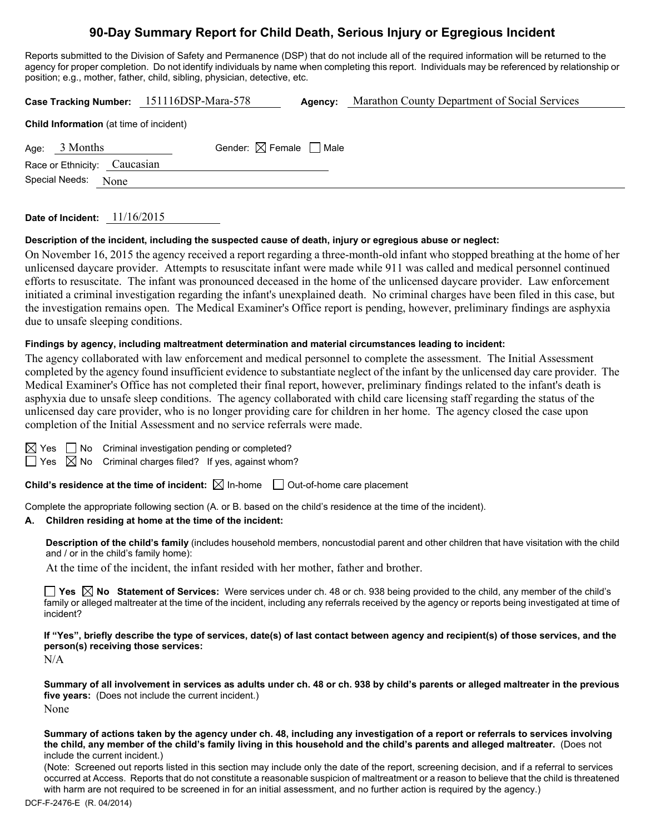## **90-Day Summary Report for Child Death, Serious Injury or Egregious Incident**

Reports submitted to the Division of Safety and Permanence (DSP) that do not include all of the required information will be returned to the agency for proper completion. Do not identify individuals by name when completing this report. Individuals may be referenced by relationship or position; e.g., mother, father, child, sibling, physician, detective, etc.

|                                                | Case Tracking Number: 151116DSP-Mara-578 | Agency: | Marathon County Department of Social Services |  |  |  |  |  |
|------------------------------------------------|------------------------------------------|---------|-----------------------------------------------|--|--|--|--|--|
| <b>Child Information</b> (at time of incident) |                                          |         |                                               |  |  |  |  |  |
| Age: $3$ Months                                | Gender: $\boxtimes$ Female $\Box$ Male   |         |                                               |  |  |  |  |  |
| Race or Ethnicity: Caucasian                   |                                          |         |                                               |  |  |  |  |  |
| Special Needs:<br>None                         |                                          |         |                                               |  |  |  |  |  |
|                                                |                                          |         |                                               |  |  |  |  |  |

#### **Date of Incident:** 11/16/2015

### **Description of the incident, including the suspected cause of death, injury or egregious abuse or neglect:**

On November 16, 2015 the agency received a report regarding a three-month-old infant who stopped breathing at the home of her unlicensed daycare provider. Attempts to resuscitate infant were made while 911 was called and medical personnel continued efforts to resuscitate. The infant was pronounced deceased in the home of the unlicensed daycare provider. Law enforcement initiated a criminal investigation regarding the infant's unexplained death. No criminal charges have been filed in this case, but the investigation remains open. The Medical Examiner's Office report is pending, however, preliminary findings are asphyxia due to unsafe sleeping conditions.

#### **Findings by agency, including maltreatment determination and material circumstances leading to incident:**

The agency collaborated with law enforcement and medical personnel to complete the assessment. The Initial Assessment completed by the agency found insufficient evidence to substantiate neglect of the infant by the unlicensed day care provider. The Medical Examiner's Office has not completed their final report, however, preliminary findings related to the infant's death is asphyxia due to unsafe sleep conditions. The agency collaborated with child care licensing staff regarding the status of the unlicensed day care provider, who is no longer providing care for children in her home. The agency closed the case upon completion of the Initial Assessment and no service referrals were made.

|--|--|

 $\Box$  No Criminal investigation pending or completed?

 $\Box$  Yes  $\boxtimes$  No Criminal charges filed? If yes, against whom?

**Child's residence at the time of incident:**  $\boxtimes$  In-home  $\Box$  Out-of-home care placement

Complete the appropriate following section (A. or B. based on the child's residence at the time of the incident).

#### **A. Children residing at home at the time of the incident:**

**Description of the child's family** (includes household members, noncustodial parent and other children that have visitation with the child and / or in the child's family home):

At the time of the incident, the infant resided with her mother, father and brother.

**Yes No Statement of Services:** Were services under ch. 48 or ch. 938 being provided to the child, any member of the child's family or alleged maltreater at the time of the incident, including any referrals received by the agency or reports being investigated at time of incident?

**If "Yes", briefly describe the type of services, date(s) of last contact between agency and recipient(s) of those services, and the person(s) receiving those services:** 

N/A

**Summary of all involvement in services as adults under ch. 48 or ch. 938 by child's parents or alleged maltreater in the previous five years:** (Does not include the current incident.) None

**Summary of actions taken by the agency under ch. 48, including any investigation of a report or referrals to services involving the child, any member of the child's family living in this household and the child's parents and alleged maltreater.** (Does not include the current incident.)

(Note: Screened out reports listed in this section may include only the date of the report, screening decision, and if a referral to services occurred at Access. Reports that do not constitute a reasonable suspicion of maltreatment or a reason to believe that the child is threatened with harm are not required to be screened in for an initial assessment, and no further action is required by the agency.)